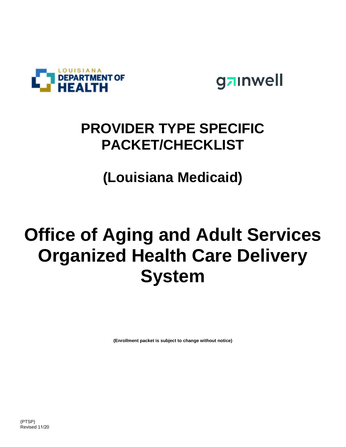



## **PROVIDER TYPE SPECIFIC PACKET/CHECKLIST**

## **(Louisiana Medicaid)**

# **Office of Aging and Adult Services Organized Health Care Delivery System**

**(Enrollment packet is subject to change without notice)**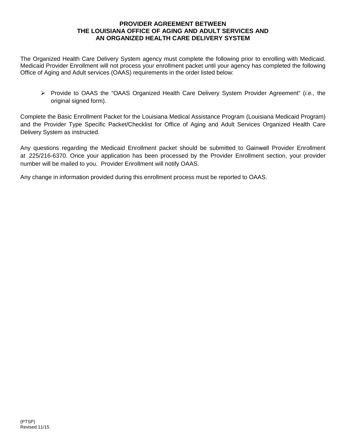#### **PROVIDER AGREEMENT BETWEEN THE LOUISIANA OFFICE OF AGING AND ADULT SERVICES AND AN ORGANIZED HEALTH CARE DELIVERY SYSTEM**

The Organized Health Care Delivery System agency must complete the following prior to enrolling with Medicaid. Medicaid Provider Enrollment will not process your enrollment packet until your agency has completed the following Office of Aging and Adult services (OAAS) requirements in the order listed below:

 Provide to OAAS the "OAAS Organized Health Care Delivery System Provider Agreement" (*i.e.,* the original signed form).

Complete the Basic Enrollment Packet for the Louisiana Medical Assistance Program (Louisiana Medicaid Program) and the Provider Type Specific Packet/Checklist for Office of Aging and Adult Services Organized Health Care Delivery System as instructed.

Any questions regarding the Medicaid Enrollment packet should be submitted to Gainwell Provider Enrollment at 225/216-6370. Once your application has been processed by the Provider Enrollment section, your provider number will be mailed to you. Provider Enrollment will notify OAAS.

Any change in information provided during this enrollment process must be reported to OAAS.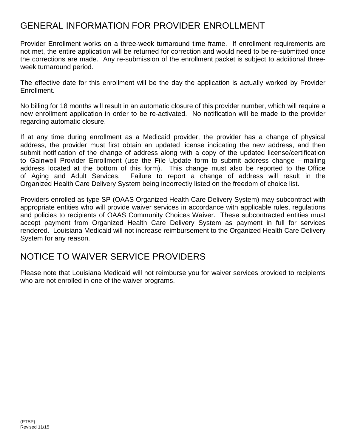### GENERAL INFORMATION FOR PROVIDER ENROLLMENT

Provider Enrollment works on a three-week turnaround time frame. If enrollment requirements are not met, the entire application will be returned for correction and would need to be re-submitted once the corrections are made. Any re-submission of the enrollment packet is subject to additional threeweek turnaround period.

The effective date for this enrollment will be the day the application is actually worked by Provider Enrollment.

No billing for 18 months will result in an automatic closure of this provider number, which will require a new enrollment application in order to be re-activated. No notification will be made to the provider regarding automatic closure.

If at any time during enrollment as a Medicaid provider, the provider has a change of physical address, the provider must first obtain an updated license indicating the new address, and then submit notification of the change of address along with a copy of the updated license/certification to Gainwell Provider Enrollment (use the File Update form to submit address change – mailing address located at the bottom of this form). This change must also be reported to the Office of Aging and Adult Services. Failure to report a change of address will result in the Organized Health Care Delivery System being incorrectly listed on the freedom of choice list.

Providers enrolled as type SP (OAAS Organized Health Care Delivery System) may subcontract with appropriate entities who will provide waiver services in accordance with applicable rules, regulations and policies to recipients of OAAS Community Choices Waiver. These subcontracted entities must accept payment from Organized Health Care Delivery System as payment in full for services rendered. Louisiana Medicaid will not increase reimbursement to the Organized Health Care Delivery System for any reason.

### NOTICE TO WAIVER SERVICE PROVIDERS

Please note that Louisiana Medicaid will not reimburse you for waiver services provided to recipients who are not enrolled in one of the waiver programs.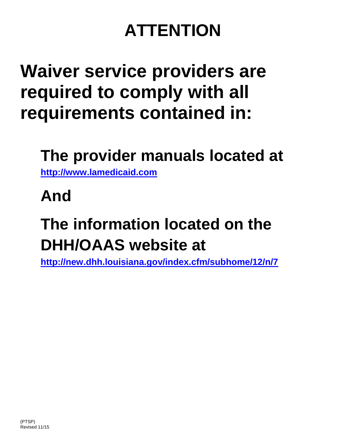# **ATTENTION**

# **Waiver service providers are required to comply with all requirements contained in:**

## **The provider manuals located at**

**[http://www.lamedicaid.com](http://www.lamedicaid.com/)**

**And**

# **The information located on the DHH/OAAS website at**

**<http://new.dhh.louisiana.gov/index.cfm/subhome/12/n/7>**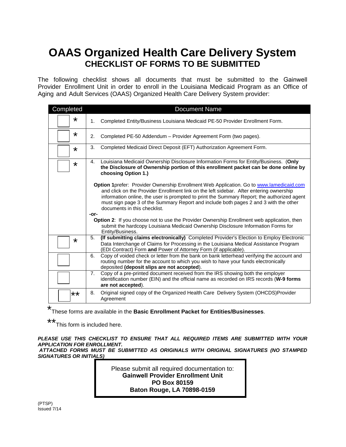### **OAAS Organized Health Care Delivery System CHECKLIST OF FORMS TO BE SUBMITTED**

The following checklist shows all documents that must be submitted to the Gainwell Provider Enrollment Unit in order to enroll in the Louisiana Medicaid Program as an Office of Aging and Adult Services (OAAS) Organized Health Care Delivery System provider:

| Completed | <b>Document Name</b>                                                                                                                                                                                                                                                                                                                                                                                              |  |
|-----------|-------------------------------------------------------------------------------------------------------------------------------------------------------------------------------------------------------------------------------------------------------------------------------------------------------------------------------------------------------------------------------------------------------------------|--|
| $\star$   | Completed Entity/Business Louisiana Medicaid PE-50 Provider Enrollment Form.<br>1.                                                                                                                                                                                                                                                                                                                                |  |
| $\star$   | Completed PE-50 Addendum – Provider Agreement Form (two pages).<br>2.                                                                                                                                                                                                                                                                                                                                             |  |
| $\star$   | 3.<br>Completed Medicaid Direct Deposit (EFT) Authorization Agreement Form.                                                                                                                                                                                                                                                                                                                                       |  |
| $\star$   | Louisiana Medicaid Ownership Disclosure Information Forms for Entity/Business. (Only<br>4.<br>the Disclosure of Ownership portion of this enrollment packet can be done online by<br>choosing Option 1.)                                                                                                                                                                                                          |  |
|           | Option 1 prefer: Provider Ownership Enrollment Web Application. Go to www.lamedicaid.com<br>and click on the Provider Enrollment link on the left sidebar. After entering ownership<br>information online, the user is prompted to print the Summary Report; the authorized agent<br>must sign page 3 of the Summary Report and include both pages 2 and 3 with the other<br>documents in this checklist.<br>-or- |  |
|           | <b>Option 2:</b> If you choose not to use the Provider Ownership Enrollment web application, then<br>submit the hardcopy Louisiana Medicaid Ownership Disclosure Information Forms for<br>Entity/Business.                                                                                                                                                                                                        |  |
| $\star$   | (If submitting claims electronically) Completed Provider's Election to Employ Electronic<br>5.<br>Data Interchange of Claims for Processing in the Louisiana Medical Assistance Program<br>(EDI Contract) Form and Power of Attorney Form (if applicable).                                                                                                                                                        |  |
|           | Copy of voided check or letter from the bank on bank letterhead verifying the account and<br>6.<br>routing number for the account to which you wish to have your funds electronically<br>deposited (deposit slips are not accepted).                                                                                                                                                                              |  |
|           | Copy of a pre-printed document received from the IRS showing both the employer<br>7.<br>identification number (EIN) and the official name as recorded on IRS records (W-9 forms<br>are not accepted).                                                                                                                                                                                                             |  |
| **        | 8.<br>Original signed copy of the Organized Health Care Delivery System (OHCDS)Provider<br>Agreement                                                                                                                                                                                                                                                                                                              |  |

\* These forms are available in the **Basic Enrollment Packet for Entities/Businesses**.

\*\* This form is included here.

*PLEASE USE THIS CHECKLIST TO ENSURE THAT ALL REQUIRED ITEMS ARE SUBMITTED WITH YOUR APPLICATION FOR ENROLLMENT.* 

*ATTACHED FORMS MUST BE SUBMITTED AS ORIGINALS WITH ORIGINAL SIGNATURES (NO STAMPED SIGNATURES OR INITIALS)*

> Please submit all required documentation to: **Gainwell Provider Enrollment Unit PO Box 80159 Baton Rouge, LA 70898-0159**

(PTSP)  $\overline{\text{I}$ ssued 7/14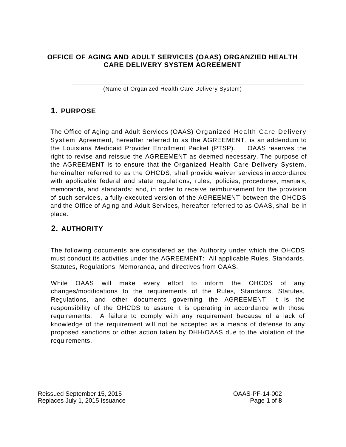#### **OFFICE OF AGING AND ADULT SERVICES (OAAS) ORGANZIED HEALTH CARE DELIVERY SYSTEM AGREEMENT**

(Name of Organized Health Care Delivery System)

#### **1. PURPOSE**

The Office of Aging and Adult Services (OAAS) Organized Health Care Delivery System Agreement, hereafter referred to as the AGREEMENT, is an addendum to the Louisiana Medicaid Provider Enrollment Packet (PTSP). OAAS reserves the right to revise and reissue the AGREEMENT as deemed necessary. The purpose of the AGREEMENT is to ensure that the Organized Health Care Delivery System, hereinafter referred to as the OHCDS, shall provide waiver services in accordance with applicable federal and state regulations, rules, policies, procedures, manuals, memoranda, and standards; and, in order to receive reimbursement for the provision of such service s, a fully-executed version of the AGREEMENT between the OHCDS and the Office of Aging and Adult Services, hereafter referred to as OAAS, shall be in place.

#### **2. AUTHORITY**

The following documents are considered as the Authority under which the OHCDS must conduct its activities under the AGREEMENT: All applicable Rules, Standards, Statutes, Regulations, Memoranda, and directives from OAAS.

While OAAS will make every effort to inform the OHCDS of any changes/modifications to the requirements of the Rules, Standards, Statutes, Regulations, and other documents governing the AGREEMENT, it is the responsibility of the OHCDS to assure it is operating in accordance with those requirements. A failure to comply with any requirement because of a lack of knowledge of the requirement will not be accepted as a means of defense to any proposed sanctions or other action taken by DHH/OAAS due to the violation of the requirements.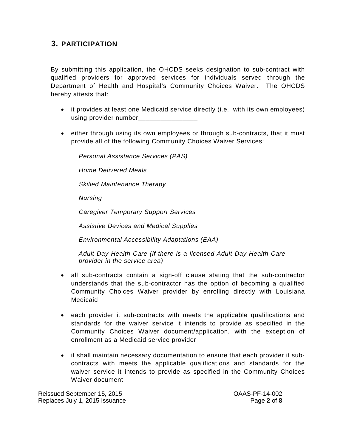#### **3. PARTICIPATION**

By submitting this application, the OHCDS seeks designation to sub-contract with qualified providers for approved services for individuals served through the Department of Health and Hospital's Community Choices Waiver. The OHCDS hereby attests that:

- it provides at least one Medicaid service directly (i.e., with its own employees) using provider number
- either through using its own employees or through sub-contracts, that it must provide all of the following Community Choices Waiver Services:

*Personal Assistance Services (PAS) Home Delivered Meals Skilled Maintenance Therapy Nursing Caregiver Temporary Support Services Assistive Devices and Medical Supplies Environmental Accessibility Adaptations (EAA)*

*Adult Day Health Care (if there is a licensed Adult Day Health Care provider in the service area)*

- all sub-contracts contain a sign-off clause stating that the sub-contractor understands that the sub-contractor has the option of becoming a qualified Community Choices Waiver provider by enrolling directly with Louisiana Medicaid
- each provider it sub-contracts with meets the applicable qualifications and standards for the waiver service it intends to provide as specified in the Community Choices Waiver document/application, with the exception of enrollment as a Medicaid service provider
- it shall maintain necessary documentation to ensure that each provider it subcontracts with meets the applicable qualifications and standards for the waiver service it intends to provide as specified in the Community Choices Waiver document

Reissued September 15, 2015 OAAS-PF-14-002 Replaces July 1, 2015 Issuance Page **2** of **8**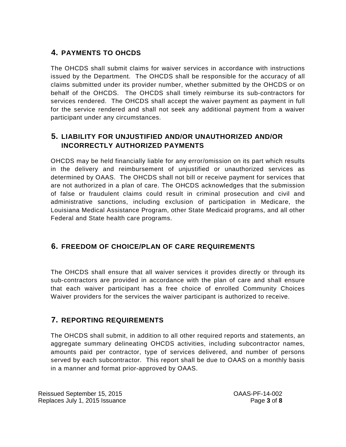#### **4. PAYMENTS TO OHCDS**

The OHCDS shall submit claims for waiver services in accordance with instructions issued by the Department. The OHCDS shall be responsible for the accuracy of all claims submitted under its provider number, whether submitted by the OHCDS or on behalf of the OHCDS. The OHCDS shall timely reimburse its sub-contractors for services rendered. The OHCDS shall accept the waiver payment as payment in full for the service rendered and shall not seek any additional payment from a waiver participant under any circumstances.

#### **5. LIABILITY FOR UNJUSTIFIED AND/OR UNAUTHORIZED AND/OR INCORRECTLY AUTHORIZED PAYMENTS**

OHCDS may be held financially liable for any error/omission on its part which results in the delivery and reimbursement of unjustified or unauthorized services as determined by OAAS. The OHCDS shall not bill or receive payment for services that are not authorized in a plan of care. The OHCDS acknowledges that the submission of false or fraudulent claims could result in criminal prosecution and civil and administrative sanctions, including exclusion of participation in Medicare, the Louisiana Medical Assistance Program, other State Medicaid programs, and all other Federal and State health care programs.

#### **6. FREEDOM OF CHOICE/PLAN OF CARE REQUIREMENTS**

The OHCDS shall ensure that all waiver services it provides directly or through its sub-contractors are provided in accordance with the plan of care and shall ensure that each waiver participant has a free choice of enrolled Community Choices Waiver providers for the services the waiver participant is authorized to receive.

#### **7. REPORTING REQUIREMENTS**

The OHCDS shall submit, in addition to all other required reports and statements, an aggregate summary delineating OHCDS activities, including subcontractor names, amounts paid per contractor, type of services delivered, and number of persons served by each subcontractor. This report shall be due to OAAS on a monthly basis in a manner and format prior-approved by OAAS.

Reissued September 15, 2015 OAAS-PF-14-002 Replaces July 1, 2015 Issuance Page **3** of **8**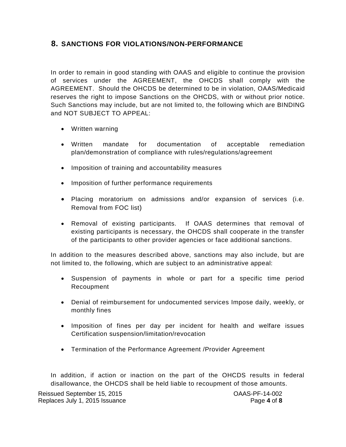#### **8. SANCTIONS FOR VIOLATIONS/NON-PERFORMANCE**

In order to remain in good standing with OAAS and eligible to continue the provision of services under the AGREEMENT, the OHCDS shall comply with the AGREEMENT. Should the OHCDS be determined to be in violation, OAAS/Medicaid reserves the right to impose Sanctions on the OHCDS, with or without prior notice. Such Sanctions may include, but are not limited to, the following which are BINDING and NOT SUBJECT TO APPEAL:

- Written warning
- Written mandate for documentation of acceptable remediation plan/demonstration of compliance with rules/regulations/agreement
- Imposition of training and accountability measures
- Imposition of further performance requirements
- Placing moratorium on admissions and/or expansion of services (i.e. Removal from FOC list)
- Removal of existing participants. If OAAS determines that removal of existing participants is necessary, the OHCDS shall cooperate in the transfer of the participants to other provider agencies or face additional sanctions.

In addition to the measures described above, sanctions may also include, but are not limited to, the following, which are subject to an administrative appeal:

- Suspension of payments in whole or part for a specific time period Recoupment
- Denial of reimbursement for undocumented services Impose daily, weekly, or monthly fines
- Imposition of fines per day per incident for health and welfare issues Certification suspension/limitation/revocation
- Termination of the Performance Agreement /Provider Agreement

In addition, if action or inaction on the part of the OHCDS results in federal disallowance, the OHCDS shall be held liable to recoupment of those amounts.

Reissued September 15, 2015 OAAS-PF-14-002 Replaces July 1, 2015 Issuance Page **4** of **8**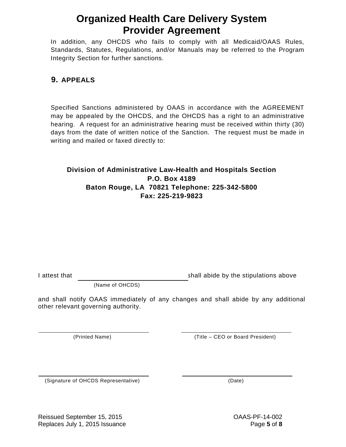### **Organized Health Care Delivery System Provider Agreement**

In addition, any OHCDS who fails to comply with all Medicaid/OAAS Rules, Standards, Statutes, Regulations, and/or Manuals may be referred to the Program Integrity Section for further sanctions.

#### **9. APPEALS**

Specified Sanctions administered by OAAS in accordance with the AGREEMENT may be appealed by the OHCDS, and the OHCDS has a right to an administrative hearing. A request for an administrative hearing must be received within thirty (30) days from the date of written notice of the Sanction. The request must be made in writing and mailed or faxed directly to:

#### **Division of Administrative Law-Health and Hospitals Section P.O. Box 4189 Baton Rouge, LA 70821 Telephone: 225-342-5800 Fax: 225-219-9823**

I attest that shall abide by the stipulations above

(Name of OHCDS)

and shall notify OAAS immediately of any changes and shall abide by any additional other relevant governing authority.

(Printed Name)

(Title – CEO or Board President)

(Signature of OHCDS Representative)

(Date)

Reissued September 15, 2015 OAAS-PF-14-002 Replaces July 1, 2015 Issuance Page **5** of **8**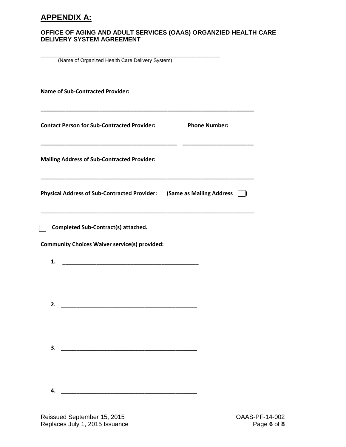#### **APPENDIX A:**

#### **OFFICE OF AGING AND ADULT SERVICES (OAAS) ORGANZIED HEALTH CARE DELIVERY SYSTEM AGREEMENT**

(Name of Organized Health Care Delivery System)

| <b>Name of Sub-Contracted Provider:</b>                                                                                    |                      |
|----------------------------------------------------------------------------------------------------------------------------|----------------------|
| <b>Contact Person for Sub-Contracted Provider:</b>                                                                         | <b>Phone Number:</b> |
| <b>Mailing Address of Sub-Contracted Provider:</b>                                                                         |                      |
| Physical Address of Sub-Contracted Provider: (Same as Mailing Address                                                      |                      |
| Completed Sub-Contract(s) attached.<br><b>Community Choices Waiver service(s) provided:</b>                                |                      |
|                                                                                                                            |                      |
| 2.<br><u> 1989 - Johann Barn, mars ar breithinn ar breithinn ar breithinn ar breithinn ar breithinn ar breithinn ar br</u> |                      |
| 3.                                                                                                                         |                      |
| 4.                                                                                                                         |                      |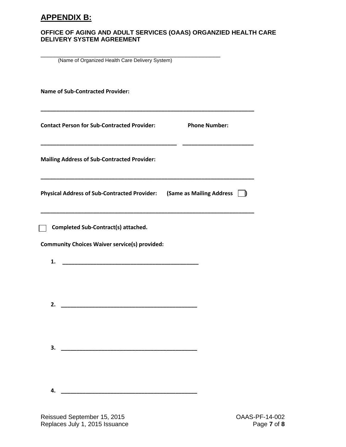#### **APPENDIX B:**

#### **OFFICE OF AGING AND ADULT SERVICES (OAAS) ORGANZIED HEALTH CARE DELIVERY SYSTEM AGREEMENT**

\_\_\_\_\_\_\_\_\_\_\_\_\_\_\_\_\_\_\_\_\_\_\_\_\_\_\_\_\_\_\_\_\_\_\_\_\_\_\_\_\_\_\_\_\_\_\_\_\_\_\_\_ (Name of Organized Health Care Delivery System)

**Name of Sub-Contracted Provider: \_\_\_\_\_\_\_\_\_\_\_\_\_\_\_\_\_\_\_\_\_\_\_\_\_\_\_\_\_\_\_\_\_\_\_\_\_\_\_\_\_\_\_\_\_\_\_\_\_\_\_\_\_\_\_\_\_\_\_\_\_\_\_\_\_\_\_\_\_ Contact Person for Sub-Contracted Provider: Phone Number: \_\_\_\_\_\_\_\_\_\_\_\_\_\_\_\_\_\_\_\_\_\_\_\_\_\_\_\_\_\_\_\_\_\_\_\_\_\_\_\_\_\_\_\_ \_\_\_\_\_\_\_\_\_\_\_\_\_\_\_\_\_\_\_\_\_\_\_ Mailing Address of Sub-Contracted Provider: \_\_\_\_\_\_\_\_\_\_\_\_\_\_\_\_\_\_\_\_\_\_\_\_\_\_\_\_\_\_\_\_\_\_\_\_\_\_\_\_\_\_\_\_\_\_\_\_\_\_\_\_\_\_\_\_\_\_\_\_\_\_\_\_\_\_\_\_\_** Physical Address of Sub-Contracted Provider: (Same as Mailing Address  $\Box$ ) **\_\_\_\_\_\_\_\_\_\_\_\_\_\_\_\_\_\_\_\_\_\_\_\_\_\_\_\_\_\_\_\_\_\_\_\_\_\_\_\_\_\_\_\_\_\_\_\_\_\_\_\_\_\_\_\_\_\_\_\_\_\_\_\_\_\_\_\_\_ Completed Sub-Contract(s) attached. Community Choices Waiver service(s) provided: 1. \_\_\_\_\_\_\_\_\_\_\_\_\_\_\_\_\_\_\_\_\_\_\_\_\_\_\_\_\_\_\_\_\_\_\_\_\_\_\_\_\_\_\_\_ 2. \_\_\_\_\_\_\_\_\_\_\_\_\_\_\_\_\_\_\_\_\_\_\_\_\_\_\_\_\_\_\_\_\_\_\_\_\_\_\_\_\_\_\_\_ 3. \_\_\_\_\_\_\_\_\_\_\_\_\_\_\_\_\_\_\_\_\_\_\_\_\_\_\_\_\_\_\_\_\_\_\_\_\_\_\_\_\_\_\_\_ 4. \_\_\_\_\_\_\_\_\_\_\_\_\_\_\_\_\_\_\_\_\_\_\_\_\_\_\_\_\_\_\_\_\_\_\_\_\_\_\_\_\_\_\_\_**